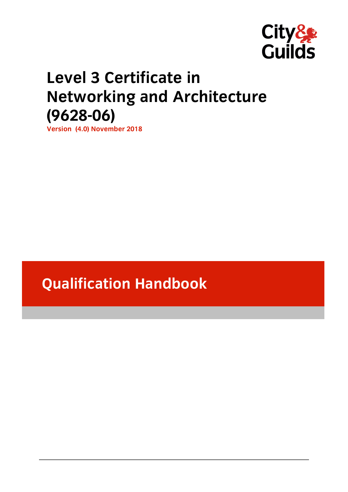

# **Level 3 Certificate in Networking and Architecture (9628-06)**

**Version (4.0) November 2018 Version (4.0) November 2018**

# **Qualification Handbook**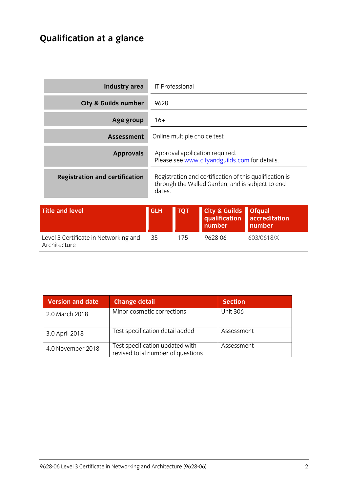# **Qualification at a glance**

| <b>Industry area</b>                                  | <b>IT Professional</b>                                                                                                |            |                                                     |                                          |
|-------------------------------------------------------|-----------------------------------------------------------------------------------------------------------------------|------------|-----------------------------------------------------|------------------------------------------|
| <b>City &amp; Guilds number</b>                       | 9628                                                                                                                  |            |                                                     |                                          |
| Age group                                             | $16+$                                                                                                                 |            |                                                     |                                          |
| <b>Assessment</b>                                     | Online multiple choice test                                                                                           |            |                                                     |                                          |
| <b>Approvals</b>                                      | Approval application required.<br>Please see www.cityandguilds.com for details.                                       |            |                                                     |                                          |
| <b>Registration and certification</b>                 | Registration and certification of this qualification is<br>through the Walled Garden, and is subject to end<br>dates. |            |                                                     |                                          |
| <b>Title and level</b>                                | <b>GLH</b>                                                                                                            | <b>TQT</b> | <b>City &amp; Guilds</b><br>qualification<br>number | <b>Ofqual</b><br>accreditation<br>number |
| Level 3 Certificate in Networking and<br>Architecture | 35                                                                                                                    | 175        | 9628-06                                             | 603/0618/X                               |

| Version and date  | <b>Change detail</b>                                                 | <b>Section</b>  |
|-------------------|----------------------------------------------------------------------|-----------------|
| 2.0 March 2018    | Minor cosmetic corrections                                           | <b>Unit 306</b> |
| 3.0 April 2018    | Test specification detail added                                      | Assessment      |
| 4.0 November 2018 | Test specification updated with<br>revised total number of questions | Assessment      |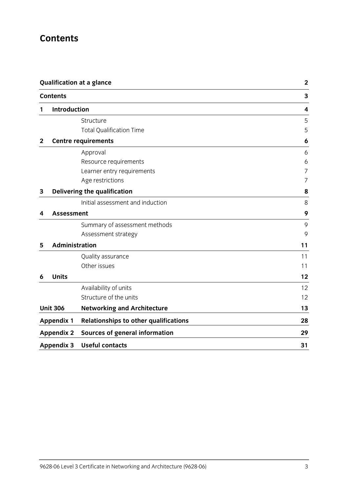# **Contents**

|             | <b>Qualification at a glance</b><br><b>Contents</b> |                                              | $\mathbf 2$ |
|-------------|-----------------------------------------------------|----------------------------------------------|-------------|
|             |                                                     |                                              | 3           |
| 1           | <b>Introduction</b>                                 |                                              | 4           |
|             |                                                     | Structure                                    | 5           |
|             |                                                     | <b>Total Qualification Time</b>              | 5           |
| $\mathbf 2$ |                                                     | <b>Centre requirements</b>                   | 6           |
|             |                                                     | Approval                                     | 6           |
|             |                                                     | Resource requirements                        | 6           |
|             |                                                     | Learner entry requirements                   | 7           |
|             |                                                     | Age restrictions                             | 7           |
| 3           |                                                     | Delivering the qualification                 | 8           |
|             |                                                     | Initial assessment and induction             | 8           |
| 4           | <b>Assessment</b>                                   |                                              | 9           |
|             |                                                     | Summary of assessment methods                | 9           |
|             |                                                     | Assessment strategy                          | 9           |
| 5           | Administration                                      |                                              | 11          |
|             |                                                     | Quality assurance                            | 11          |
|             |                                                     | Other issues                                 | 11          |
| 6           | <b>Units</b>                                        |                                              | 12          |
|             |                                                     | Availability of units                        | 12          |
|             |                                                     | Structure of the units                       | 12          |
|             | <b>Unit 306</b>                                     | <b>Networking and Architecture</b>           | 13          |
|             | <b>Appendix 1</b>                                   | <b>Relationships to other qualifications</b> | 28          |
|             | <b>Appendix 2</b>                                   | <b>Sources of general information</b>        | 29          |
|             | <b>Appendix 3</b>                                   | <b>Useful contacts</b>                       | 31          |
|             |                                                     |                                              |             |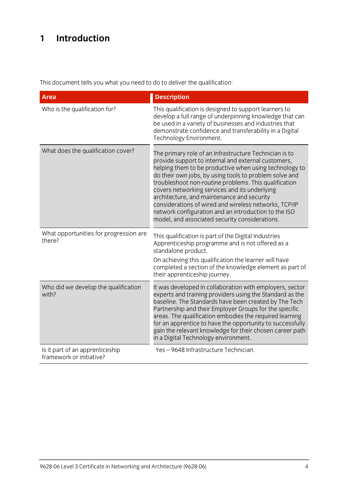# **1 Introduction**

This document tells you what you need to do to deliver the qualification:

| <b>Area</b>                                                 | <b>Description</b>                                                                                                                                                                                                                                                                                                                                                                                                                                                                                                                                           |
|-------------------------------------------------------------|--------------------------------------------------------------------------------------------------------------------------------------------------------------------------------------------------------------------------------------------------------------------------------------------------------------------------------------------------------------------------------------------------------------------------------------------------------------------------------------------------------------------------------------------------------------|
| Who is the qualification for?                               | This qualification is designed to support learners to<br>develop a full range of underpinning knowledge that can<br>be used in a variety of businesses and industries that<br>demonstrate confidence and transferability in a Digital<br>Technology Environment.                                                                                                                                                                                                                                                                                             |
| What does the qualification cover?                          | The primary role of an Infrastructure Technician is to<br>provide support to internal and external customers,<br>helping them to be productive when using technology to<br>do their own jobs, by using tools to problem solve and<br>troubleshoot non-routine problems. This qualification<br>covers networking services and its underlying<br>architecture, and maintenance and security<br>considerations of wired and wireless networks, TCP/IP<br>network configuration and an introduction to the ISO<br>model, and associated security considerations. |
| What opportunities for progression are<br>there?            | This qualification is part of the Digital Industries<br>Apprenticeship programme and is not offered as a<br>standalone product.<br>On achieving this qualification the learner will have<br>completed a section of the knowledge element as part of<br>their apprenticeship journey.                                                                                                                                                                                                                                                                         |
| Who did we develop the qualification<br>with?               | It was developed in collaboration with employers, sector<br>experts and training providers using the Standard as the<br>baseline. The Standards have been created by The Tech<br>Partnership and their Employer Groups for the specific<br>areas. The qualification embodies the required learning<br>for an apprentice to have the opportunity to successfully<br>gain the relevant knowledge for their chosen career path<br>in a Digital Technology environment.                                                                                          |
| Is it part of an apprenticeship<br>framework or initiative? | Yes-9648 Infrastructure Technician.                                                                                                                                                                                                                                                                                                                                                                                                                                                                                                                          |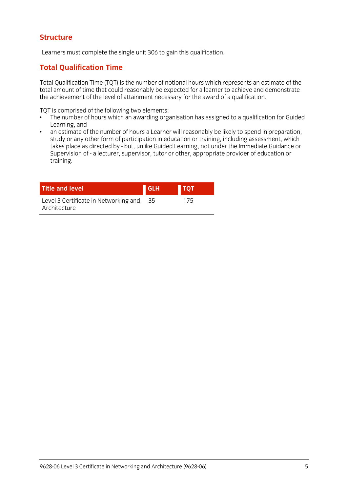### **Structure Structure**

Learners must complete the single unit 306 to gain this qualification.

# **Total Qualification Time**

Total Qualification Time (TQT) is the number of notional hours which represents an estimate of the the achievement of the level of attainment necessary for the award of a qualification. the achievement of the level of attainment necessary for the award of a qualification.

- $\cdot$  The number of hours which an awarding org  $\frac{1}{2}$  The number of  $\frac{1}{2}$  and  $\frac{1}{2}$  and  $\frac{1}{2}$  are assigned to a qualitation for Guidel $\frac{1}{2}$  and  $\frac{1}{2}$  and  $\frac{1}{2}$  and  $\frac{1}{2}$  and  $\frac{1}{2}$  and  $\frac{1}{2}$  and  $\frac{1}{2}$  and  $\frac{1}{2}$  and  $\frac{1}{2$ Learning, and<br>an estimate of the number of hours a Learner will reasonably be likely to spend in preparation.
- $\bullet$ study or any other form of participation in education or training, including assessment, which takes place as directed by - but, unlike Guided Learning, not under the Immediate Guidance or takes place as an ecceancy - but, unlike Guided Learning, not under the Immediate Guidance or<br>Supervision of - a lecturer supervisor, tutor or other, appropriate provider of education or Supervision of - a lecturer, supervisor, tutor or other, appropriate provider of education or training.

| <b>Title and level</b>                                | <b>GLH</b> | <b>TQT</b> |  |
|-------------------------------------------------------|------------|------------|--|
| Level 3 Certificate in Networking and<br>Architecture | - 35       | 175        |  |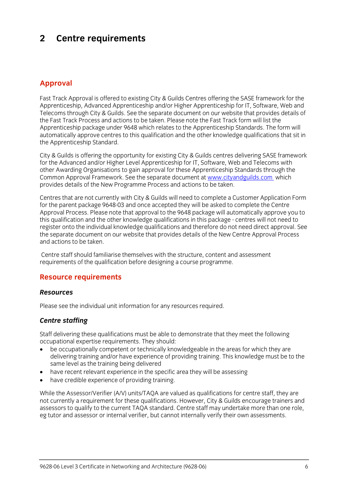## $\overline{2}$ **2 Centre requirements**

## **Approval**

Fast Track Approval is offered to existing City & Guilds Centres offering the SASE framework for the<br>Apprenticeship, Advanced Apprenticeship and/or Higher Apprenticeship for IT, Software, Web and Telecoms through City & Guilds. See the separate document on our website that provides details of the Fast Track Process and actions to be taken. Please note the Fast Track form will list the Apprenticeship package under 9648 which relates to the Apprenticeship Standards. The form will automatically approve centres to this qualification and the other knowledge qualifications that sit in the Apprenticeship Standard. the Apprenticeship Standard.

City & Guilds is offering the opportunity for existing City & Guilds centres delivering SASE framework for the Advanced and/or Higher Level Apprenticeship for IT, Software, Web and Telecoms with other Awarding Organisations to gain approval for these Apprenticeship Standards through the Common Approval Framework. See the separate document at www.cityandguilds.com which Common Apple Framework. See the separate document at the separate document at the separate document at which the separate document at which the separate document at which the separate document at which the separate documen provides details of the New Programme Process and actions to be taken.

Centres that are not currently with City & Guilds will need to complete a Customer Application Form Approval Process. Please note that approval to the 9648 package will automatically approve you to this qualification and the other knowledge qualifications in this package - centres will not need to register onto the individual knowledge qualifications and therefore do not need direct approval. See the separate document on our website that provides details of the New Centre Approval Process and actions to be taken and actions to be taken.

Centre staff should familiarise themselves with the structure, content and assessment requirements of the qualification before designing a course programme. requirements of the qualification before designing a course programme.

### **Resource requirements**

### **Resources** *Resources*

Please see the individual unit information for any resources required.

### *Centre staffing*

Staff delivering these qualifications must be able to demonstrate that they meet the following occupational expertise requirements. They should:

- be occupationally competent or technically knowledgeable in the areas for which they are delivering training and/or have experience of providing training. This knowledge must be to the same level as the training being delivered
- have recent relevant experience in the specific area they will be assessing<br>• have credible experience of providing training
- have credible experience of providing training.

While the Assessor/Verifier (A/V) units/TAQA are valued as qualifications for centre staff, they are not currently a requirement for these qualifications. However, City & Guilds encourage trainers and assessors to qualify to the current TAOA standard. Centre staff may undertake more than one role. eg tutor and assessor or internal verifier, but cannot internally verify their own assessments. eg tutor and assessor or internal verifier, but cannot internally verify their own assessments.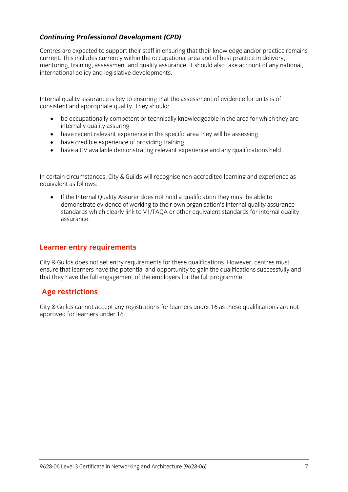# *Continuing Professional Development (CPD)*

Centres are expected to support their staff in ensuring that their knowledge and/or practice remains current. This includes currency within the occupational area and of best practice in delivery. mentoring, training, assessment and quality assurance. It should also take account of any national, international policy and legislative developments. international policy and legislative developments.

Internal quality assurance is key to ensuring that the assessment of evidence for units is of consistent and appropriate  $\frac{1}{2}$  should: They should: They should: They should: They should: They should: They should: They should: They should: They should: They should: They should: They should: They should: They sho

- be occupationally competent or technically knowledgeable in the area for which they are
- have recent relevant experience in the specific area they will be assessing<br>• have credible experience of providing training
- have credible experience of providing training
- have a CV available demonstrating relevant experience and any qualifications held.

In certain circumstances, City & Guilds will recognise non-accredited learning and experience as equivalent as follows:

If the Internal Quality Assurer does not hold a qualification they must be able to<br>demonstrate evidence of working to their own organisation's internal quality assurance standards which clearly link to V1/TAOA or other equivalent standards for internal quality standards which clearly link to V1/TAQA or other equivalent standards for internal quality.<br>ASSUIFANCE assurance.

### **Learner entry requirements**

City & Guilds does not set entry requirements for these qualifications. However, centres must ensure that learners have the potential and opportunity to gain the qualifications successfully and that they have the full engagement of the employers for the full programme.  $t_{\rm t}$  that the employers for the full programme.

# **Age restrictions**

city is guilds cannot accept any registrations for rearners under 16 as these qualifications are not approved for learners under 16.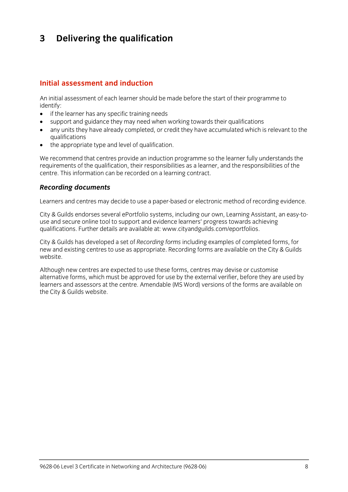## $\mathbf{3}$ **3 Delivering the qualification**

### Initial assessment and induction **Initial assessment and induction**

An initial assessment of each learner should be made before the start of their programme to identify:

- $\bullet$  if the learner has any specific training needs<br>  $\bullet$  sunnort and quidance they may need when
- support and guidance they may need when working towards their qualifications
- any units they have already completed, or credit they have accumulated which is relevant to the
- $\bullet$  the appropriate type and level of qualification.

We recommend that centres provide an induction programme so the learner fully understands the requirements of the qualification, their responsibilities as a learner, and the responsibilities of the centre. This information can be recorded on a learning contract. centre. This information can be recorded on a learning contract.

# *Recording documents*

Learners and centres may decide to use a paper-based or electronic method of recording evidence.

City & Guilds endorses several ePortfolio systems, including our own, Learning Assistant, an easy-to-<br>use and secure online tool to support and evidence learners' progress towards achieving qualifications. Further details are available at: www.cityandguilds.com/eportfolios.  $q_1$ . Further details are available at: www.cityandguilds.com/epoch.com/epoch.com/epoch.com/epoch.com/epoch.com/epoch.com/epoch.com/epoch.com/epoch.com/epoch.com/epoch.com/epoch.com/epoch.com/epoch.com/epoch.com/epoch.co

City & Guilds has developed a set of *Recording forms* including examples of completed forms, for new and existing centres to use as appropriate. Recording forms are available on the City & Guilds website.

Although new centres are expected to use these forms, centres may devise or customise<br>alternative forms, which must be approved for use by the external verifier, before they are used by learners and assessors at the centre. Amendable (MS Word) versions of the forms are available on the City & Guilds website.  $t_{\rm t}$  the City website.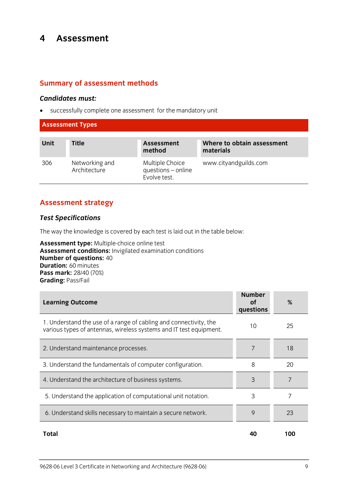## $\overline{\mathbf{4}}$ **4 Assessment**

## **Summary of assessment methods**

*Candidates must:* successfully complete one assessment for the mandatory unit

### **Assessment Types**

| Unit | <b>Title</b>                   | <b>Assessment</b><br>method                           | Where to obtain assessment<br>materials |
|------|--------------------------------|-------------------------------------------------------|-----------------------------------------|
| 306  | Networking and<br>Architecture | Multiple Choice<br>questions - online<br>Evolve test. | www.cityandguilds.com                   |

## **Assessment strategy**

### *Test Specifications*

The way the knowledge is covered by each test is laid out in the table below:<br> **Assessment type:** Multiple-choice online test

**Assessment conditions:** Invigilated examination conditions **Number of questions: 40 Duration: 60 minutes Pass mark: 28/40 (70%) Grading: Pass/Fail Grading:** Pass/Fail

| <b>Learning Outcome</b>                                                                                                                 | <b>Number</b><br>οf<br>questions | %   |
|-----------------------------------------------------------------------------------------------------------------------------------------|----------------------------------|-----|
| 1. Understand the use of a range of cabling and connectivity, the<br>various types of antennas, wireless systems and IT test equipment. | 10                               | 25  |
| 2. Understand maintenance processes.                                                                                                    | 7                                | 18  |
| 3. Understand the fundamentals of computer configuration.                                                                               | 8                                | 20  |
| 4. Understand the architecture of business systems.                                                                                     | 3                                | 7   |
| 5. Understand the application of computational unit notation.                                                                           | 3                                | 7   |
| 6. Understand skills necessary to maintain a secure network.                                                                            | 9                                | 23  |
| <b>Total</b>                                                                                                                            | 40                               | 100 |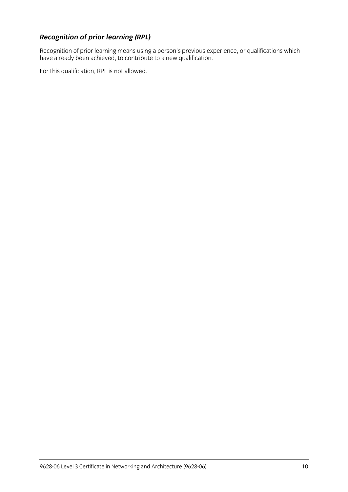**Recognition of prior learning (RPL)**<br>Recognition of prior learning means using a person's previous experience, or qualifications which Recognition of prior learning means using a person's previous experience, or qualifications which is needed. have already been achieved, to contribute to a new qualification.

For this qualification, RPL is not allowed.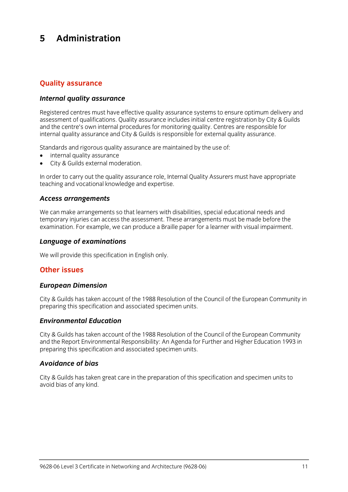### 5 Administration **5 Administration**

# **Quality assurance**

### *Internal quality assurance*

Registered centres must have effective quality assurance systems to ensure optimum delivery and<br>assessment of qualifications. Quality assurance includes initial centre registration by City & Guilds and the centre's own internal procedures for monitoring quality. Centres are responsible for internal quality assurance and City & Guilds is responsible for external quality assurance. internal quality assurance and City & Guilds is responsible for external quality assurance.

- $\bullet$  internal quality assurance<br>  $\bullet$  City & Guilds external moderation
- City & Guilds external moderation.

In order to carry out the quality assurance role, Internal Quality Assurers must have appropriate teaching and vocational knowledge and expertise. teaching and vocational knowledge and expertise.

# *Access arrangements*

We can make arrangements so that learners with disabilities, special educational needs and<br>temporary injuries can access the assessment. These arrangements must be made before the  $\frac{1}{2}$  in  $\frac{1}{2}$  is the cannon contract the assessment. The assessment of  $\frac{1}{2}$  arrangement of  $\frac{1}{2}$  arrangement of  $\frac{1}{2}$  arrangement of  $\frac{1}{2}$  arrangement of  $\frac{1}{2}$  arrangement of  $\frac{1}{2}$  arrang examination. For example, we can produce a Braille paper for a learner with visual impairment.

# *Language of examinations*

 $\mathbb{R}^n$  will provide this specification in Eq. (

# **Other issues**

# *European Dimension*

City & Guilds has taken account of the 1988 Resolution of the Council of the European Community in preparing this specification and associated specimen units. preparing this specification and associated specimen units.

# *Environmental Education*

City & Guilds has taken account of the 1988 Resolution of the Council of the European Community preparing this specification and associated specimen units. preparing this specification and associated specimen units.

### **Avoidance of bias** *Avoidance of bias*

City & Guilds has taken great care in the preparation of this specification and specimen units to avoid bias of any kind.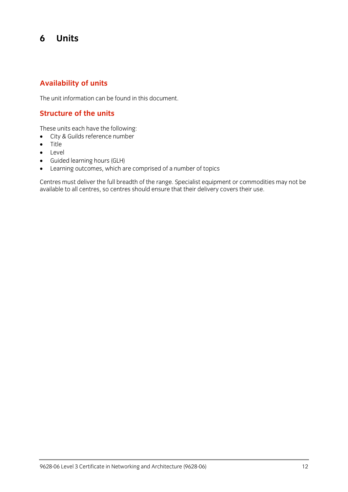## 6 **6 Units**

## **Availability of units**

The unit information can be found in this document.

## **Structure of the units**

- $\bullet$  City & Guilds reference number
- $\bullet$  Title
- **•** Level<br>• Guide
- Guided learning hours (GLH)
- 

• Learning outcomes, which are comprised of a number of topics<br>Centres must deliver the full breadth of the range. Specialist equipment or commodities may not be centres must demite the functionality of the range oppositive equipment or commodities may not be available to all centres, so centres should ensure that their delivery covers their use.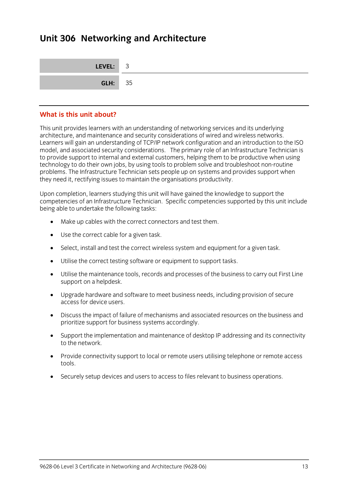## **Unit 306 Networking and Architecture**

| LEVEL: 3       |  |
|----------------|--|
| <b>GLH:</b> 35 |  |

### What is this unit about? **What is this unit about?**

This unit provides learners with an understanding of networking services and its underlying Learners will gain an understanding of TCP/IP network configuration and an introduction to the ISO model, and associated security considerations. The primary role of an Infrastructure Technician is to provide support to internal and external customers, helping them to be productive when using technology to do their own jobs, by using tools to problem solve and troubleshoot non-routine problems. The Infrastructure Technician sets people up on systems and provides support when  $\rho$  is the Infrastructure Technician sets people up to  $\rho$  in the problems  $\rho$  in the  $\rho$  support the provides support when  $\rho$ they need it, rectifying issues to maintain the organisations productivity.

Upon completion, learners studying this unit will have gained the knowledge to support the<br>competencies of an Infrastructure Technician. Specific competencies supported by this unit include being able to undertake the following tasks: being able to undertake the following tasks:

- Make up cables with the correct connectors and test them.
- Use the correct cable for a given task.
- Select, install and test the correct wireless system and equipment for a given task.
- Utilise the correct testing software or equipment to support tasks.
- Utilise the maintenance tools, records and processes of the business to carry out First Line support on a helpdesk.
- Upgrade hardware and software to meet business needs, including provision of secure access for device users.
- Discuss the impact of failure of mechanisms and associated resources on the business and prioritize support for business systems accordingly.
- Support the implementation and maintenance of desktop IP addressing and its connectivity to the network.
- Provide connectivity support to local or remote users utilising telephone or remote access tools. tools.
- Securely setup devices and users to access to files relevant to business operations.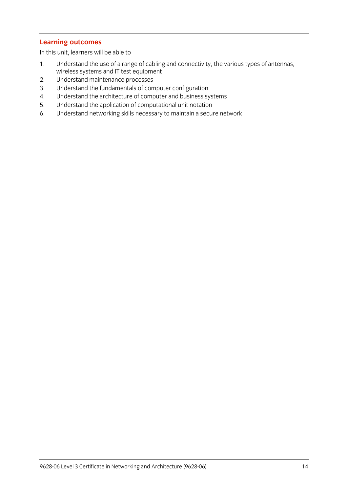**Learning outcomes** In this unit, learners will be able to

- Understand the use of a range of cabling and connectivity, the various types of antennas, wireless systems and IT test equipment
- Understand maintenance processes
- 2. Understand maintenance processes<br>3. Understand the fundamentals of computer configuration
- 4. Understand the architecture of computer and business systems
- 5. Understand the application of computational unit notation
- $\frac{1}{2}$ . Understand notworking ckills nocessary to maintain a secul  $\frac{1}{\sqrt{2}}$ . Understand networking skills necessary to maintain a secure networking networking networking networking  $\frac{1}{\sqrt{2}}$ .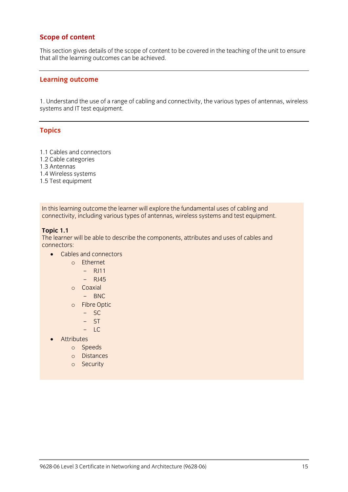### **Scope of content**

This section gives details of the scope of content to be covered in the teaching of the unit to ensure<br>that all the learning outcomes can be achieved that all the learning outcomes can be achieved.

### **Learning outcome**

1. Understand the use of a range of cabling and connectivity, the various types of antennas, wireless systems and IT test equipment.

### **Topics**

- 1.1 Cables and connectors
- 1.2 Cable categories
- 1.3 Antennas
- 1.4 Wireless systems
- 1.5 Test equinment 1.5 Test equipment

In the comming outcome the learner this explore the fundamental uses of cabining and<br>connectivity including various tynes of antennas, wireless systems and test equinme connectivity, including various types of antennas, wireless systems and test equipment.

**The learne** The learner will be able to describe the components, attributes and uses of cables and

- Cables and connectors
	- <sup>o</sup> Ethernet
		- $-$  RJ11
		- $-$  RI45
	- <sup>o</sup> Coaxial
		- BNC
	- <sup>o</sup> Fibre Optic
		- $-$  SC
		- ST
		- LC
	- Attributes
		- <sup>o</sup> Speeds
		- <sup>o</sup> Distances
		- <sup>o</sup> Security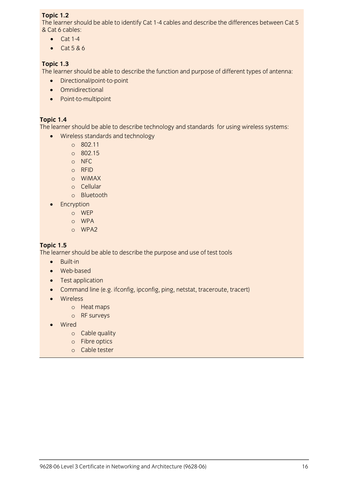**Topic 1.2**<br>The learner should be able to identify Cat 1-4 cables and describe the differences between Cat 5 & Cat 6 cables:

- $\bullet$  Cat 1-4
	- $\bullet$  Cat 5 & 6

**The learne** The learner should be able to describe the function and purpose of different types of antenna:

- Directional/point-to-point
- **•** Omnidirectional
- Point-to-multipoint

**Topic 1.4**<br>The learner should be able to describe technology and standards for using wireless systems:

- The learner showled be able to december technology and standards for using wireless standards and technology<br>  $\frac{802.11}{\pi}$ 
	- <sup>o</sup> 802.11
	- <sup>o</sup> 802.15
	- <sup>o</sup> NFC
	- <sup>o</sup> RFID
	- <sup>o</sup> WiMAX
	- <sup>o</sup> Cellular
	- <sup>o</sup> Bluetooth
	- Encryption
		- <sup>o</sup> WEP
		- <sup>o</sup> WPA
		- <sup>o</sup> WPA2

**Topic 1.5** The learner should be able to describe the purpose and use of test tools

- Built-in<br>• Web-ba
- Web-based<br>• Test annlica
- Test application<br>• Command line (e
- Command line (e.g. ifconfig, ipconfig, ping, netstat, traceroute, tracert)<br>• Wireless
- Wireless
	- <sup>o</sup> Heat maps
	- <sup>o</sup> RF surveys
- Wired
	- <sup>o</sup> Cable quality
	- <sup>o</sup> Fibre optics
	- <sup>o</sup> Cable tester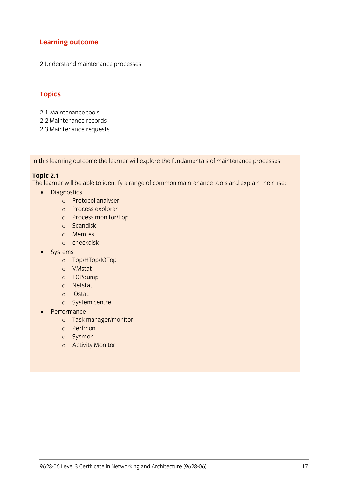2 Understand maintenance processes

### **Topics**

- 2.1 Maintenance tools<br>2.2 Maintenance records
- 
- 2.2 Maintenance records 2.3 Maintenance requests

In this learning outcome the learner will explore the fundamentals of maintenance processes

**Topic 2.1**<br>The learner will be able to identify a range of common maintenance tools and explain their use: The learner will be able to identify a range of common maintenance tools and explain their use:

- Diagnostics
	- <sup>o</sup> Protocol analyser
	- <sup>o</sup> Process explorer
	- <sup>o</sup> Process monitor/Top
	- <sup>o</sup> Scandisk
	- <sup>o</sup> Memtest
	- <sup>o</sup> checkdisk
- **Systems** 
	- <sup>o</sup> Top/HTop/IOTop
	- <sup>o</sup> VMstat
	- <sup>o</sup> TCPdump
	- <sup>o</sup> Netstat
	- <sup>o</sup> IOstat
	- <sup>o</sup> System centre
- Performance
	- <sup>o</sup> Task manager/monitor
	- <sup>o</sup> Perfmon
	- <sup>o</sup> Sysmon
	- <sup>o</sup> Activity Monitor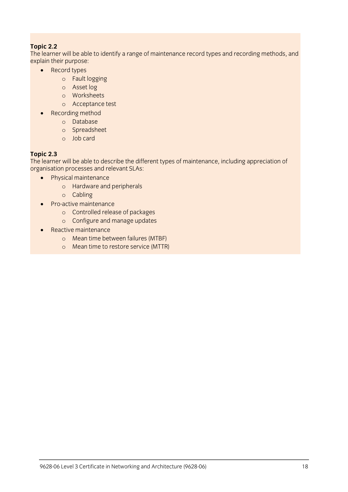**The learne** Probain their nurmose

- Record types:
	- <sup>o</sup> Fault logging
	- <sup>o</sup> Asset log
	- <sup>o</sup> Worksheets
	- <sup>o</sup> Acceptance test
	- Recording method
		- <sup>o</sup> Database
		- <sup>o</sup> Spreadsheet
		- <sup>o</sup> Job card

**Topic 2.3**<br>The learner will be able to describe the different types of maintenance, including appreciation of organisation processes and relevant SLAs:

- organisation processes and relevant SLAS.<br>
Physical maintenance
	- <sup>o</sup> Hardware and peripherals
	- <sup>o</sup> Cabling
	- Pro-active maintenance
		- <sup>o</sup> Controlled release of packages
		- <sup>o</sup> Configure and manage updates
	- Reactive maintenance
		- <sup>o</sup> Mean time between failures (MTBF)
		- <sup>o</sup> Mean time to restore service (MTTR)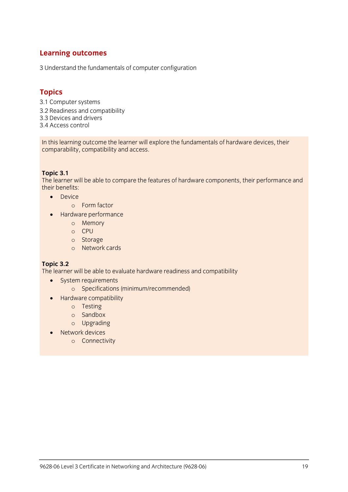3 Understand the fundamentals of computer configuration

**Topics**<br>3.1 Computer systems 3.2 Readiness and compatibility 3.3 Devices and drivers 3.4 Access control 3.4 Access control

In this learning outcome the rearner will explore the fundamentals of hardware devices, their<br>comnarability comnatibility and access comparability, comparability and access.

**The learne**  $\frac{1}{2}$  their benefits.

- $\bullet$  Device
	- <sup>o</sup> Form factor
	- Hardware performance
		- <sup>o</sup> Memory
		- <sup>o</sup> CPU
		- <sup>o</sup> Storage
		- <sup>o</sup> Network cards

**The learne**  $\frac{1}{\sqrt{2}}$ 

- System requirements
	- <sup>o</sup> Specifications (minimum/recommended)
- Hardware compatibility
	- <sup>o</sup> Testing
	- <sup>o</sup> Sandbox
	- <sup>o</sup> Upgrading
- Network devices
	- <sup>o</sup> Connectivity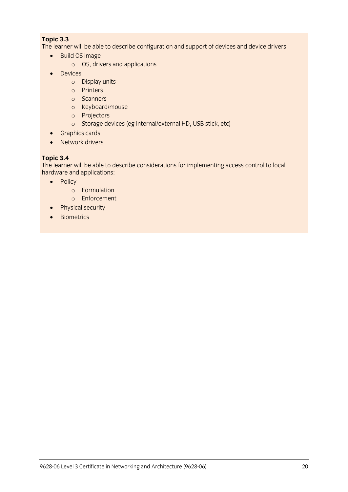**The learne**  $T_{\text{total}}$  be able to describe configuration and device drivers:

- Build OS image
	- <sup>o</sup> OS, drivers and applications
- Devices
	- <sup>o</sup> Display units
	- <sup>o</sup> Printers
	- <sup>o</sup> Scanners
	- <sup>o</sup> Keyboard/mouse
	- <sup>o</sup> Projectors
	- <sup>o</sup> Storage devices (eg internal/external HD, USB stick, etc)
- Graphics cards<br>• Network drivers
- Network drivers

**Topic 3.4**<br>The learner will be able to describe considerations for implementing access control to local hardware and applications:

- $\bullet$  Policy
	- <sup>o</sup> Formulation
	- <sup>o</sup> Enforcement
	- Physical security<br>• Biometrics
	- **Biometrics**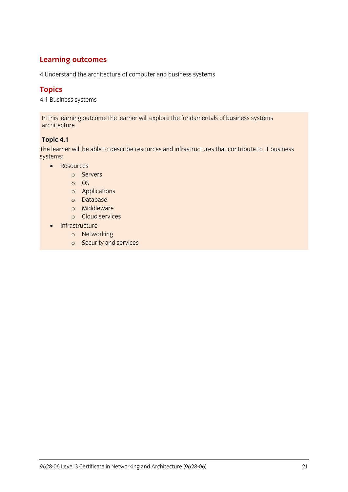4 Understand the architecture of computer and business systems

**Topics**<br>1.1 Duciv  $\cdots$  Business systems

In this learning outcome the learner will explore the fundamentals of business systems architecture

**Topic 4.1** The learner will be able to describe resources and infrastructures that contribute to IT business

- Resources
	- <sup>o</sup> Servers
	- <sup>o</sup> OS
	- <sup>o</sup> Applications
	- <sup>o</sup> Database
	- <sup>o</sup> Middleware
	- <sup>o</sup> Cloud services
	- Infrastructure
		- <sup>o</sup> Networking
		- <sup>o</sup> Security and services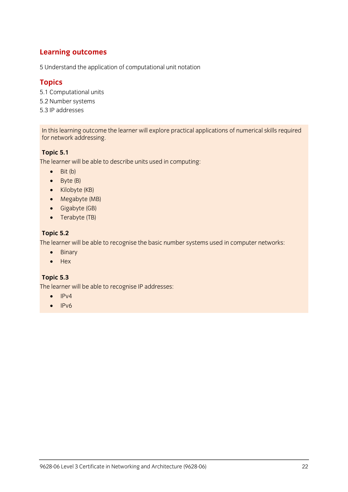5 Understand the application of computational unit notation

- **Topics**<br>5.1 Computational units 5.2 Number systems
- 5.3 IP addresses 5.3 IP addresses

 $\frac{1}{2}$  for network addressing for network addressing.

**Topic 5.1** The learner will be able to describe units used in computing:

- $\bullet$  Bit (b)
- $\bullet$  Byte (B)
- Kilobyte (KB)
- Megabyte (MB)
- Gigabyte (GB)
- Terabyte (TB)

**Topic 5.2**  $T_{\rm eff}$  is able to recognise the basic number systems used in computer  $\frac{1}{2}$ 

- Binary
- $H$ ex

**Topic 5.3** The learner will be able to recognise IP addresses:

- $\bullet$  IPv4
- $\bullet$  IPv6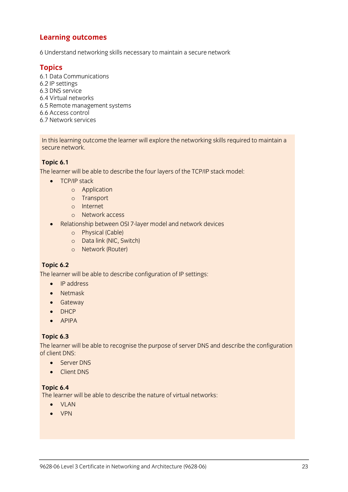6 Understand networking skills necessary to maintain a secure network

**Topics** 6.2 IP settings 6.3 DNS service 6.4 Virtual networks 6.5 Remote management systems 6.6 Access control 6.7 Network services 6.7 Network services

In this learning outcome the learner will explore the networking skills required to maintain a secure network. secure network.

**Topic 6.1** The learner will be able to describe the four layers of the TCP/IP stack model:

- TCP/IP stack
	- <sup>o</sup> Application
	- <sup>o</sup> Transport
	- <sup>o</sup> Internet
	- <sup>o</sup> Network access
- Relationship between OSI 7-layer model and network devices
	- <sup>o</sup> Physical (Cable)
	- <sup>o</sup> Data link (NIC, Switch)
	- <sup>o</sup> Network (Router)

**Topic 6.2** The learner will be able to describe configuration of IP settings:

- IP address
- Netmask
- **•** Gateway
- DHCP
- APIPA

**Topic 6.3** The learner will be able to recognise the purpose of server DNS and december the comiguration.<br>of client DNS:

- Server DNS
	- Client DNS

**Topic 6.4**<br>The learner will be able to describe the nature of virtual networks: The learner will be able to describe the nature of virtual networks:  $\frac{1}{2}$ 

- VLAN
- VPN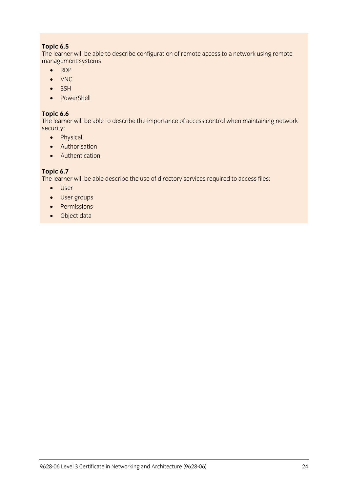**Topic 6.5**<br>The learner will be able to describe configuration of remote access to a network using remote The learner will be able to describe configuration of remote access to a network using remote a network using remote a new set of  $\sigma$ management systems

- $\cdot$  RDP
- ONC<br>COSH
- $\bullet$  SSH<br> $\bullet$  Pow
- PowerShell

**The learne**  $T$ 

- Physical
	- **•** Authorisation
	- Authentication

**The learne**  $T_{\rm eff}$  able describe the use of directors  $\mu$  and  $\mu$  access files:

- User
- User groups
- Permissions
- Object data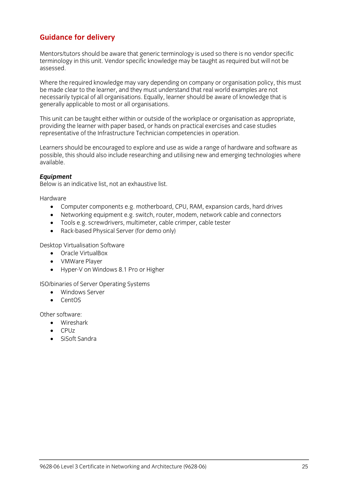# **Guidance for delivery**

Mentors/tutors should be aware that generic terminology is used so there is no vendor specific<br>terminology in this unit. Vendor specific knowledge may be taught as required but will not be  $t_{\text{c}}$ assessed.

Where the required knowledge may vary depending on company or organisation policy, this must be made clear to the learner, and they must understand that real world examples are not necessarily typical of all organisations. Equally, learner should be aware of knowledge that is  $\frac{1}{2}$  of  $\frac{1}{2}$  of  $\frac{1}{2}$  organisations. Equalizer show a showledge that is considered to most or all organisations.  $\sigma$  and  $\sigma$  most or all original or all orders or all orders or all orders or all orders or all orders or all orders or  $\sigma$ 

This unit can be taught either within or outside of the workplace or organisation as appropriate, providing the learner with paper based, or hands on practical exercises and case studies  $\frac{1}{2}$  provides the learner paper based on providing the case of the learner  $\frac{1}{2}$  exercises and case studies and case studies and case studies are studies and case studies studies studies and case studies studies representative of the Infrastructure Technician competencies in operation.

Learners should be encouraged to explore and use as wide a range of hardware and software as<br>possible, this should also include researching and utilising new and emerging technologies where possible, this showled research also include  $\frac{1}{2}$  and utilizing  $\frac{1}{2}$  and  $\frac{1}{2}$  and  $\frac{1}{2}$  and  $\frac{1}{2}$  and  $\frac{1}{2}$  and  $\frac{1}{2}$  and  $\frac{1}{2}$  and  $\frac{1}{2}$  and  $\frac{1}{2}$  and  $\frac{1}{2}$  and  $\frac{1}{2}$  an available.

*Equipment* Below is an indicative list, not an exhaustive list.

Hardware

- Computer components e.g. motherboard, CPU, RAM, expansion cards, hard drives<br>• Networking equipment e.g. switch, router, modem, network cable and connectors
	- Networking equipment e.g. switch, router, modem, network cable and connectors<br>• Tools e g screwdrivers multimeter cable crimper cable tester
	- Tools e.g. screwdrivers, multimeter, cable crimper, cable tester<br>• Rack-based Physical Server (for demo only)
	- Rack-based Physical Server (for demo only)

- **CORPORT CONTROLLER CONTROLLER SOFTWARE SOFTWARE SOFTWARE SOFTWARE** 
	- VMWare Player
	- Hyper-V on Windows 8.1 Pro or Higher

- $\bullet$  Windows Server
	- CentOS

- other software:<br>  $\bullet$  Wireshark
	- CPUZ
	- SiSoft Sandra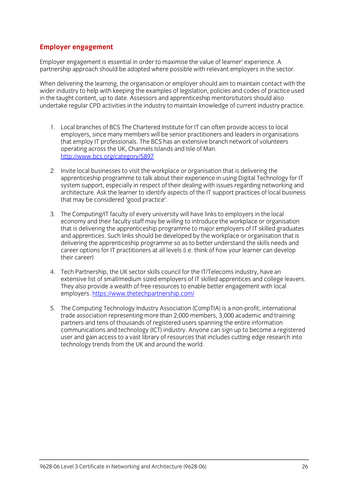### **Employer engagement**

Employer engagement is essential in order to maximise the value of learner' experience. A partnership approach should be adopted where possible with relevant employers in the sector.

When delivering the learning, the organisation or employer should aim to maintain contact with the wider industry to help with keeping the examples of legislation, policies and codes of practice used in the taught content, up to date. Assessors and apprenticeship mentors/tutors should also undertake regular CPD activities in the industry to maintain knowledge of current industry practice. undertake regular CPD activities in the industry to maintain knowledge of current industry practice.

- 1. Local branches of BCS The Chartered Institute for IT can often provide access to local that employ IT professionals. The BCS has an extensive branch network of volunteers operating across the UK, Channels Islands and Isle of Man. http://www.bcs.org/category/5897 http://www.bcs.org/category/58977<br>Professor
- 2. Invite local businesses to visit the workplace or organisation that is delivering the system support, especially in respect of their dealing with issues regarding networking and architecture. Ask the learner to identify aspects of the IT support practices of local business that may be considered 'good practice'. that may be considered 'good practice'.
- 3. The Computing/IT faculty of every university will have links to employers in the local that is delivering the apprenticeship programme to major employers of IT skilled graduates and apprentices. Such links should be developed by the workplace or organisation that is delivering the apprenticeship programme so as to better understand the skills needs and  $\frac{d}{dt}$  career options for IT practitioners at all levels (i.e. think of how your learner can develop  $\sum_{i=1}^n$ their career)
- 4. Tech Partnership, the UK sector skills council for the IT/Telecoms industry, have an extensive list of small/medium sized employers of IT skilled apprentices and college leavers. They also provide a wealth of free resources to enable better engagement with local employers. https://www.thetechpartnership.com/ employers. <u>In present the teach</u> partnership.com/
- 5. The Computing Technology Industry Association (CompTIA) is a non-profit, international<br>trade association representing more than 2,000 members, 3,000 academic and training partners and tens of thousands of registered users spanning the entire information communications and technology (ICT) industry. Anyone can sign up to become a registered user and gain access to a vast library of resources that includes cutting edge research into technology trends from the UK and around the world.  $\frac{1}{\sqrt{2}}$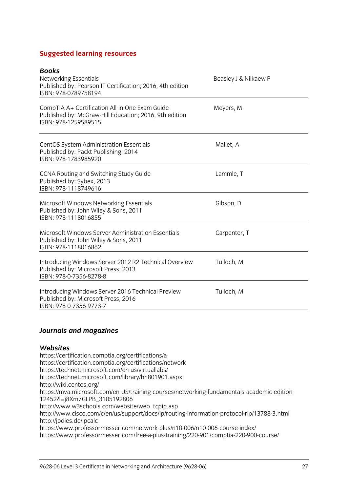### **Suggested learning resources**

| Beasley J & Nilkaew P |
|-----------------------|
| Meyers, M             |
| Mallet, A             |
| Lammle, T             |
| Gibson, D             |
| Carpenter, T          |
| Tulloch, M            |
| Tulloch, M            |
|                       |

### *Journals and magazines*

Websites<br>https://certification.comptia.org/certifications/a https://certification.comptia.org/certifications/network https://technet.microsoft.com/en-us/virtuallabs/ https://technet.microsoft.com/library/hh801901.aspx http://wiki.centos.org/ https://mva.microsoft.com/en-US/training-courses/networking-fundamentals-academic-edition-12452?l=j8Xm7GLPB\_3105192806 http://www.w3schools.com/website/web tcpip.asp http://www.cisco.com/c/en/us/support/docs/ip/routing-information-protocol-rip/13788-3.html http://jodies.de/ipcalc https://www.professormesser.com/network-plus/n10-006/n10-006-course-index/ https://www.professormesser.com/network-plus/n10-006/n10-006-course-index/ https://www.professormesser.com/free-a-plus-training/220-901/comptia-220-900-course/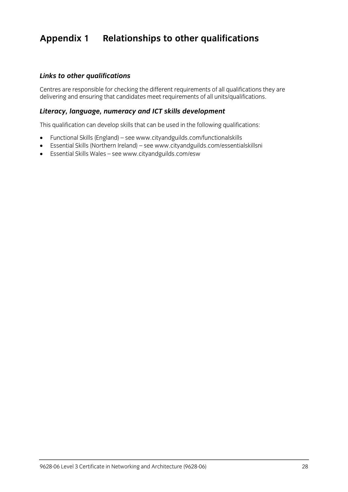# **Appendix 1 Relationships to other qualifications**

### *Links to other qualifications*

Centres are responsible for checking the different requirements of all units/qualifications they are delivering and ensuring that can deliver meet requirements of all units/qualifications.

### *Literacy, language, numeracy and ICT skills development*

This qualification can develop skills that can be used in the following qualifications:

- Functional Skills (England) se[e www.](http://www.cityandguilds.com/functionalskills)[cityandguilds.com/functionalskills](http://www.cityandguilds.com/essentialskillsni)<br>● Fssential Skills (Northern Ireland) see www.cityandguilds.com/essentia
- Essential Skills (Northern Ireland) see www.cityandguilds.com/essentialskillsni<br>■ Essential Skills Wales see www.cityandguilds.com/esw
- Essential Skills Wales see [www.cityandguilds.com/esw](http://www.cityandguilds.com/esw)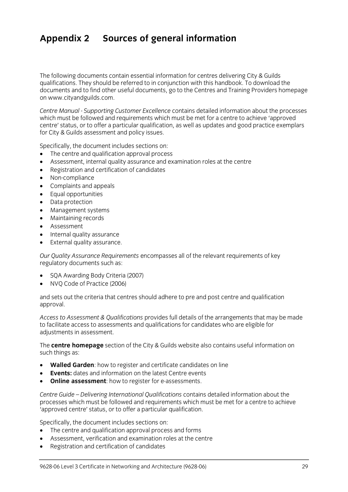# **Appendix 2 Sources of general information**

The following documents contain essential information for centres delivering City & Guilds qualifications. They should be referred to in conjunction with this handbook. To download the documents and to find other useful documents, go to the Centres and Training Providers homepage on www.cityandguilds.com.  $\frac{1}{2}$  and  $\frac{1}{2}$ 

*Centre Manual - Supporting Customer Excellence* contains detailed information about the processes centre' status, or to offer a particular qualification, as well as updates and good practice exemplars for City & Guilds assessment and policy issues. for City & Guilds assessment and policy issues.

- The centre and qualification approval process<br>• Assessment internal quality assurance and ex
- Assessment, internal quality assurance and examination roles at the centre
- Registration and certification of candidates
- Non-compliance
- Complaints and appeals
- Equal opportunities
- Data protection
- Management systems
- Maintaining records
- Assessment
- Internal quality assurance
- External quality assurance.

*Our Quality Assurance Requirements* encompasses all of the relevant requirements of key regulatory documents such as:

- SQA Awarding Body Criteria (2007)
- NVQ Code of Practice (2006)

and sets out the criteria that centres should adhere to pre and post centre and qualification approval. approval.

*Access to Assessment & Qualifications* provides full details of the arrangements that may be made adiustments in assessment. adjustments in assessment.

The **centre homepage** section of the City & Guilds website also contains useful information on  $\mathbf{S}$ 

- **Walled Garden**: how to register and certificate candidates on line
- **Events:** dates and information on the latest Centre events
- **Online assessment**: how to register for e-assessments.

*Centre Guide – Delivering International Qualifications* contains detailed information about the processes which must be followed and requirements which methods where a centre to achieve.<br>'annroved centre' status, or to offer a narticular qualification 'approved centre' status, or to offer a particular qualification.

- The centre and qualification approval process and forms
- Assessment, verification and examination roles at the centre
- Registration and certification of candidates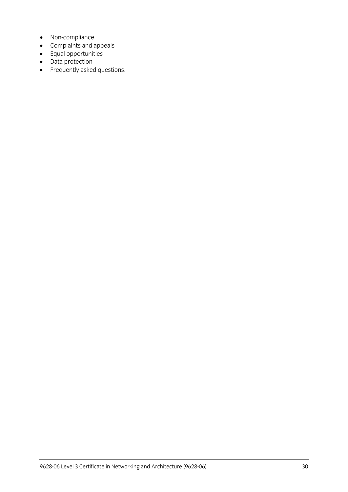- Non-compliance
- Complaints and appeals
- Equal opportunities
- Data protection
- Frequently asked questions.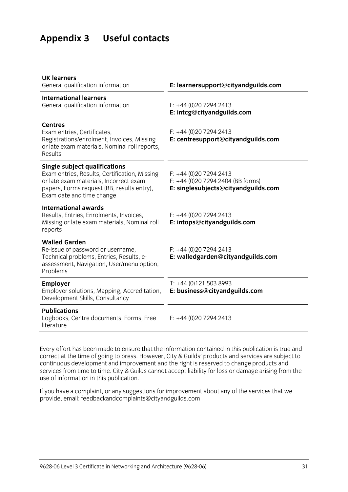# **Appendix 3 Useful contacts**

| E: learnersupport@cityandguilds.com                                                                 |
|-----------------------------------------------------------------------------------------------------|
| $F: +44(0)2072942413$<br>E: intcg@cityandguilds.com                                                 |
| $F: +44(0)2072942413$<br>E: centresupport@cityandguilds.com                                         |
| $F: +44(0)2072942413$<br>$F: +44$ (0)20 7294 2404 (BB forms)<br>E: singlesubjects@cityandguilds.com |
| $F: +44(0)2072942413$<br>E: intops@cityandguilds.com                                                |
| $F: +44(0)2072942413$<br>E: walledgarden@cityandguilds.com                                          |
| $T: +44(0)1215038993$<br>E: business@cityandguilds.com                                              |
| $F: +44(0)2072942413$                                                                               |
|                                                                                                     |

Every effort has been made to ensure that the information contained in this publication is true and correct at the time of going to press. However, City & Guilds' products and services are subject to continuous development and improvement and the right is reserved to change products and continuous development and include the right included to change the right included to contain the right included to change and the right included to change and the right included to change and the right included to change services from time to time. City & Guilds cannot accept liability for loss or damage arising from the use of information in this publication.

If you have a complete a complaint in the service and the services that we have a complete the services that we have a control of the services that we have a control of the services that we have a control of the service th provide, email[: feedbackandcomplaints@cityandguilds.com](http://feedbackandcomplaints@cityandguilds.com)